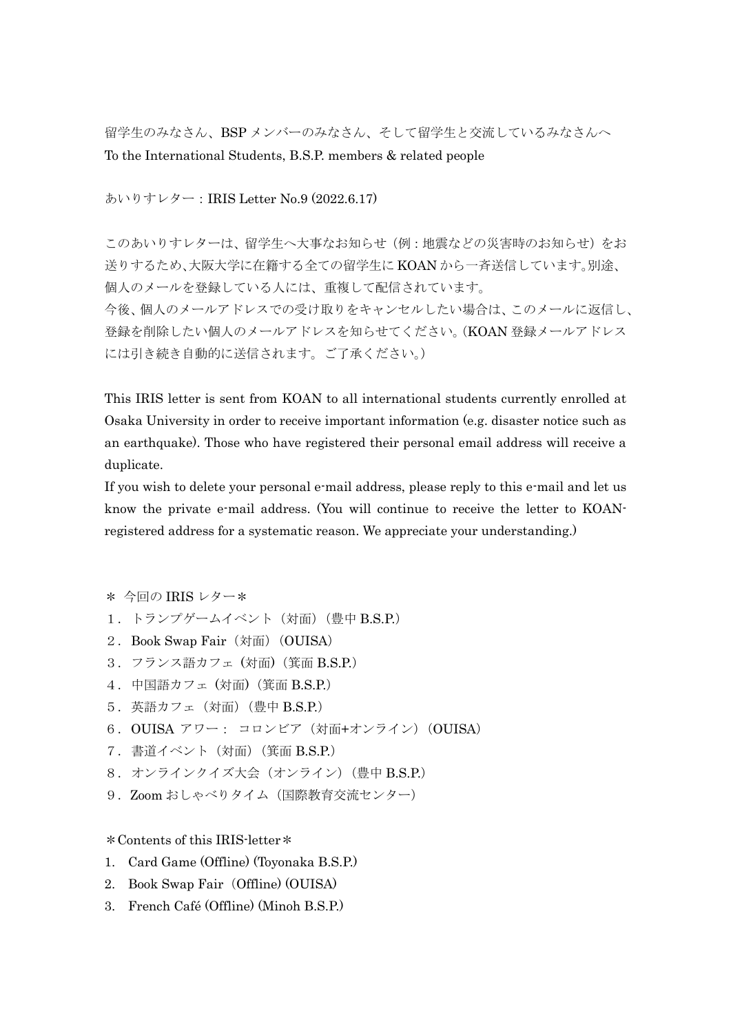留学生のみなさん、BSP メンバーのみなさん、そして留学生と交流しているみなさんへ To the International Students, B.S.P. members & related people

あいりすレター:IRIS Letter No.9 (2022.6.17)

このあいりすレターは、留学生へ大事なお知らせ(例:地震などの災害時のお知らせ)をお 送りするため、大阪大学に在籍する全ての留学生に KOAN から一斉送信しています。別途、 個人のメールを登録している人には、重複して配信されています。 今後、個人のメールアドレスでの受け取りをキャンセルしたい場合は、このメールに返信し、 登録を削除したい個人のメールアドレスを知らせてください。(KOAN 登録メールアドレス には引き続き自動的に送信されます。ご了承ください。)

This IRIS letter is sent from KOAN to all international students currently enrolled at Osaka University in order to receive important information (e.g. disaster notice such as an earthquake). Those who have registered their personal email address will receive a duplicate.

If you wish to delete your personal e-mail address, please reply to this e-mail and let us know the private e-mail address. (You will continue to receive the letter to KOANregistered address for a systematic reason. We appreciate your understanding.)

- \* 今回の IRIS レター\*
- 1.トランプゲームイベント(対面)(豊中 B.S.P.)
- 2.Book Swap Fair(対面)(OUISA)
- 3.フランス語カフェ (対面)(箕面 B.S.P.)
- 4.中国語カフェ (対面)(箕面 B.S.P.)
- 5.英語カフェ(対面)(豊中 B.S.P.)
- 6.OUISA アワー: コロンビア(対面+オンライン)(OUISA)
- 7.書道イベント(対面)(箕面 B.S.P.)
- 8.オンラインクイズ大会(オンライン)(豊中 B.S.P.)
- 9. Zoom おしゃべりタイム (国際教育交流センター)

\*Contents of this IRIS-letter\*

- 1. Card Game (Offline) (Toyonaka B.S.P.)
- 2. Book Swap Fair (Offline) (OUISA)
- 3. French Café (Offline) (Minoh B.S.P.)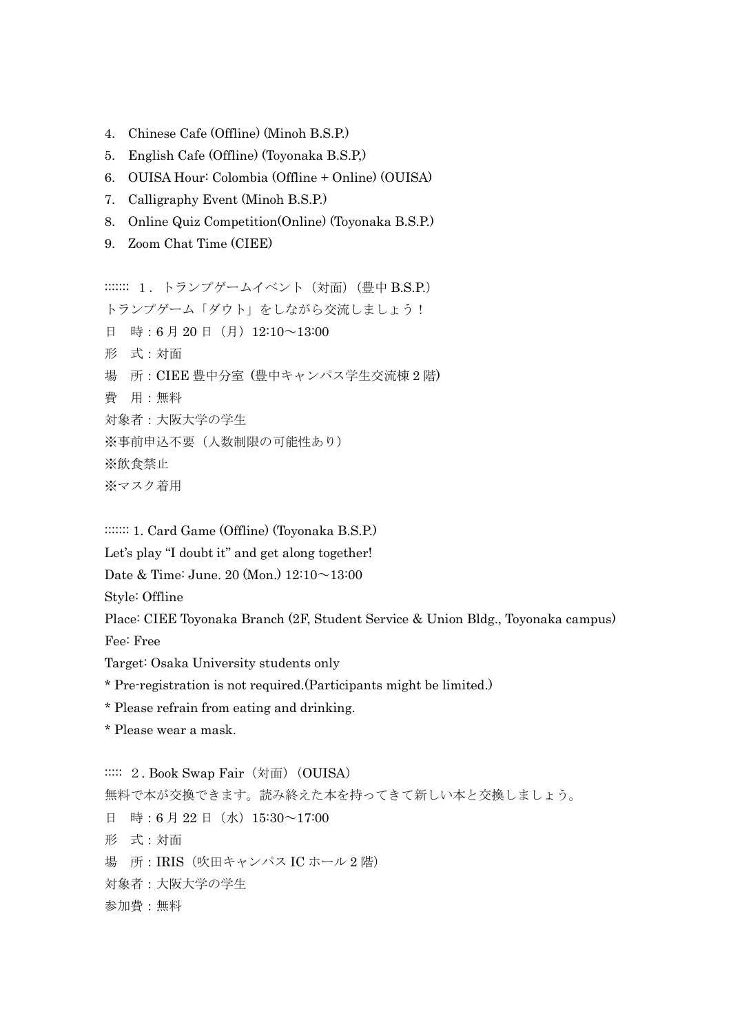- 4. Chinese Cafe (Offline) (Minoh B.S.P.)
- 5. English Cafe (Offline) (Toyonaka B.S.P,)
- 6. OUISA Hour: Colombia (Offline + Online) (OUISA)
- 7. Calligraphy Event (Minoh B.S.P.)
- 8. Online Quiz Competition(Online) (Toyonaka B.S.P.)
- 9. Zoom Chat Time (CIEE)

:::::::: 1. トランプゲームイベント (対面) (豊中 B.S.P.) トランプゲーム「ダウト」をしながら交流しましょう! 日 時:6月20日(月) 12:10~13:00 形 式:対面 場 所:CIEE 豊中分室 (豊中キャンパス学生交流棟 2 階) 費 用:無料 対象者:大阪大学の学生 ※事前申込不要(人数制限の可能性あり) ※飲食禁止

※マスク着用

:::::::: 1. Card Game (Offline) (Toyonaka B.S.P.)

Let's play "I doubt it" and get along together!

Date & Time: June. 20 (Mon.) 12:10~13:00

Style: Offline

Place: CIEE Toyonaka Branch (2F, Student Service & Union Bldg., Toyonaka campus) Fee: Free

Target: Osaka University students only

\* Pre-registration is not required.(Participants might be limited.)

- \* Please refrain from eating and drinking.
- \* Please wear a mask.

::::: 2. Book Swap Fair (対面) (OUISA) 無料で本が交換できます。読み終えた本を持ってきて新しい本と交換しましょう。 日 時:6月22日(水) 15:30~17:00 形 式:対面 場 所:IRIS(吹田キャンパス IC ホール 2 階) 対象者:大阪大学の学生 参加費:無料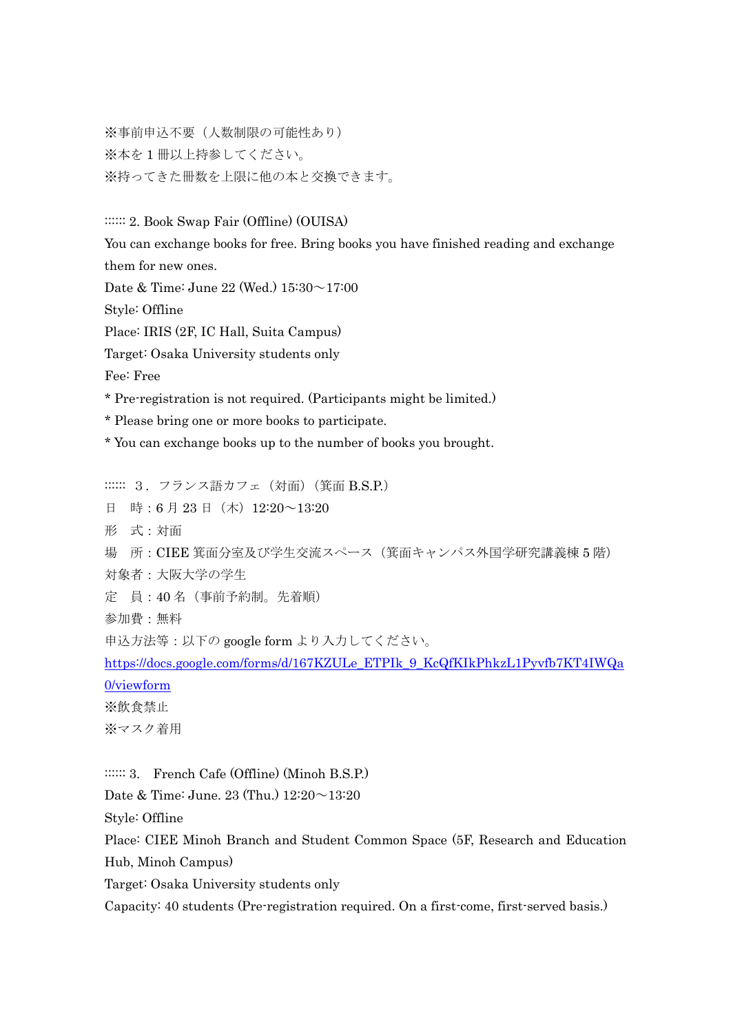※事前申込不要(人数制限の可能性あり) ※本を1冊以上持参してください。 ※持ってきた冊数を上限に他の本と交換できます。

:::::: 2. Book Swap Fair (Offline) (OUISA)

You can exchange books for free. Bring books you have finished reading and exchange them for new ones. Date & Time: June 22 (Wed.) 15:30~17:00 Style: Offline Place: IRIS (2F, IC Hall, Suita Campus) Target: Osaka University students only Fee: Free \* Pre-registration is not required. (Participants might be limited.) \* Please bring one or more books to participate. \* You can exchange books up to the number of books you brought. :::::: 3. フランス語カフェ (対面) (箕面 B.S.P.) 日 時:6月23日(木) 12:20~13:20 形 式:対面 場 所:CIEE 箕面分室及び学生交流スペース(箕面キャンパス外国学研究講義棟 5 階)

対象者:大阪大学の学生

定 員:40 名(事前予約制。先着順)

参加費:無料

申込方法等:以下の google form より入力してください。

[https://docs.google.com/forms/d/167KZULe\\_ETPIk\\_9\\_KcQfKIkPhkzL1Pyvfb7KT4IWQa](https://docs.google.com/forms/d/167KZULe_ETPIk_9_KcQfKIkPhkzL1Pyvfb7KT4IWQa0/viewform) [0/viewform](https://docs.google.com/forms/d/167KZULe_ETPIk_9_KcQfKIkPhkzL1Pyvfb7KT4IWQa0/viewform) ※飲食禁止

※マスク着用

:::::: 3. French Cafe (Offline) (Minoh B.S.P.)

Date & Time: June. 23 (Thu.)  $12:20 \sim 13:20$ 

Style: Offline

Place: CIEE Minoh Branch and Student Common Space (5F, Research and Education Hub, Minoh Campus)

Target: Osaka University students only

Capacity: 40 students (Pre-registration required. On a first-come, first-served basis.)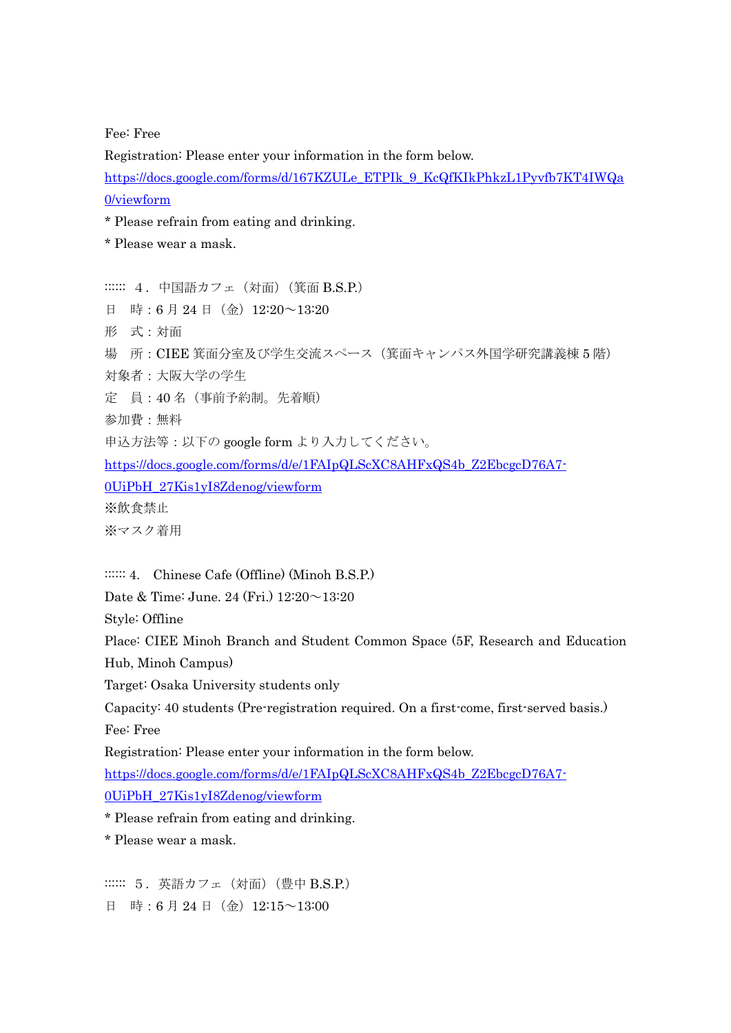Fee: Free

Registration: Please enter your information in the form below.

[https://docs.google.com/forms/d/167KZULe\\_ETPIk\\_9\\_KcQfKIkPhkzL1Pyvfb7KT4IWQa](https://docs.google.com/forms/d/167KZULe_ETPIk_9_KcQfKIkPhkzL1Pyvfb7KT4IWQa0/viewform) [0/viewform](https://docs.google.com/forms/d/167KZULe_ETPIk_9_KcQfKIkPhkzL1Pyvfb7KT4IWQa0/viewform)

\* Please refrain from eating and drinking.

\* Please wear a mask.

:::::: 4. 中国語カフェ (対面) (箕面 B.S.P.) 日 時:6月24日(金) 12:20~13:20 形 式:対面 場 所:CIEE 箕面分室及び学生交流スペース(箕面キャンパス外国学研究講義棟 5 階) 対象者:大阪大学の学生 定 員:40 名(事前予約制。先着順) 参加費:無料 申込方法等:以下の google form より入力してください。 [https://docs.google.com/forms/d/e/1FAIpQLScXC8AHFxQS4b\\_Z2EbcgcD76A7-](https://docs.google.com/forms/d/e/1FAIpQLScXC8AHFxQS4b_Z2EbcgcD76A7-0UiPbH_27Kis1yI8Zdenog/viewform) [0UiPbH\\_27Kis1yI8Zdenog/viewform](https://docs.google.com/forms/d/e/1FAIpQLScXC8AHFxQS4b_Z2EbcgcD76A7-0UiPbH_27Kis1yI8Zdenog/viewform) ※飲食禁止 ※マスク着用

:::::: 4. Chinese Cafe (Offline) (Minoh B.S.P.)

Date & Time: June. 24 (Fri.) 12:20~13:20

Style: Offline

Place: CIEE Minoh Branch and Student Common Space (5F, Research and Education Hub, Minoh Campus)

Target: Osaka University students only

Capacity: 40 students (Pre-registration required. On a first-come, first-served basis.) Fee: Free

Registration: Please enter your information in the form below.

[https://docs.google.com/forms/d/e/1FAIpQLScXC8AHFxQS4b\\_Z2EbcgcD76A7-](https://docs.google.com/forms/d/e/1FAIpQLScXC8AHFxQS4b_Z2EbcgcD76A7-0UiPbH_27Kis1yI8Zdenog/viewform) [0UiPbH\\_27Kis1yI8Zdenog/viewform](https://docs.google.com/forms/d/e/1FAIpQLScXC8AHFxQS4b_Z2EbcgcD76A7-0UiPbH_27Kis1yI8Zdenog/viewform)

\* Please refrain from eating and drinking.

\* Please wear a mask.

:::::: 5.英語カフェ(対面)(豊中 B.S.P.) 日 時:6月24日(金) 12:15~13:00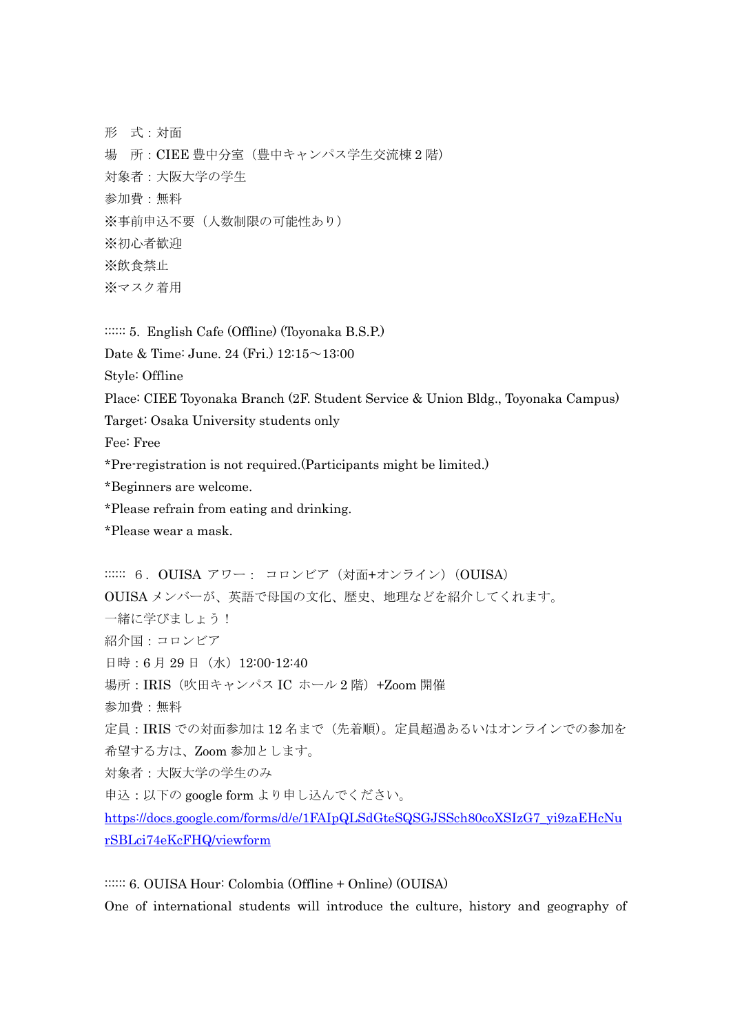形 式:対面 場 所:CIEE 豊中分室(豊中キャンパス学生交流棟 2 階) 対象者:大阪大学の学生 参加費:無料 ※事前申込不要(人数制限の可能性あり) ※初心者歓迎 ※飲食禁止 ※マスク着用

:::::: 5. English Cafe (Offline) (Toyonaka B.S.P.)

Date & Time: June. 24 (Fri.) 12:15~13:00

Style: Offline

Place: CIEE Toyonaka Branch (2F. Student Service & Union Bldg., Toyonaka Campus)

Target: Osaka University students only

Fee: Free

\*Pre-registration is not required.(Participants might be limited.)

\*Beginners are welcome.

\*Please refrain from eating and drinking.

\*Please wear a mask.

::::::: 6. OUISA アワー: コロンビア (対面+オンライン) (OUISA) OUISA メンバーが、英語で母国の文化、歴史、地理などを紹介してくれます。 一緒に学びましょう! 紹介国:コロンビア 日時:6月29日 (水) 12:00-12:40 場所:IRIS(吹田キャンパス IC ホール 2 階)+Zoom 開催 参加費:無料 定員:IRIS での対面参加は 12 名まで(先着順)。定員超過あるいはオンラインでの参加を 希望する方は、Zoom 参加とします。 対象者:大阪大学の学生のみ 申込:以下の google form より申し込んでください。 [https://docs.google.com/forms/d/e/1FAIpQLSdGteSQSGJSSch80coXSIzG7\\_yi9zaEHcNu](https://docs.google.com/forms/d/e/1FAIpQLSdGteSQSGJSSch80coXSIzG7_yi9zaEHcNurSBLci74eKcFHQ/viewform) [rSBLci74eKcFHQ/viewform](https://docs.google.com/forms/d/e/1FAIpQLSdGteSQSGJSSch80coXSIzG7_yi9zaEHcNurSBLci74eKcFHQ/viewform)

:::::: 6. OUISA Hour: Colombia (Offline + Online) (OUISA) One of international students will introduce the culture, history and geography of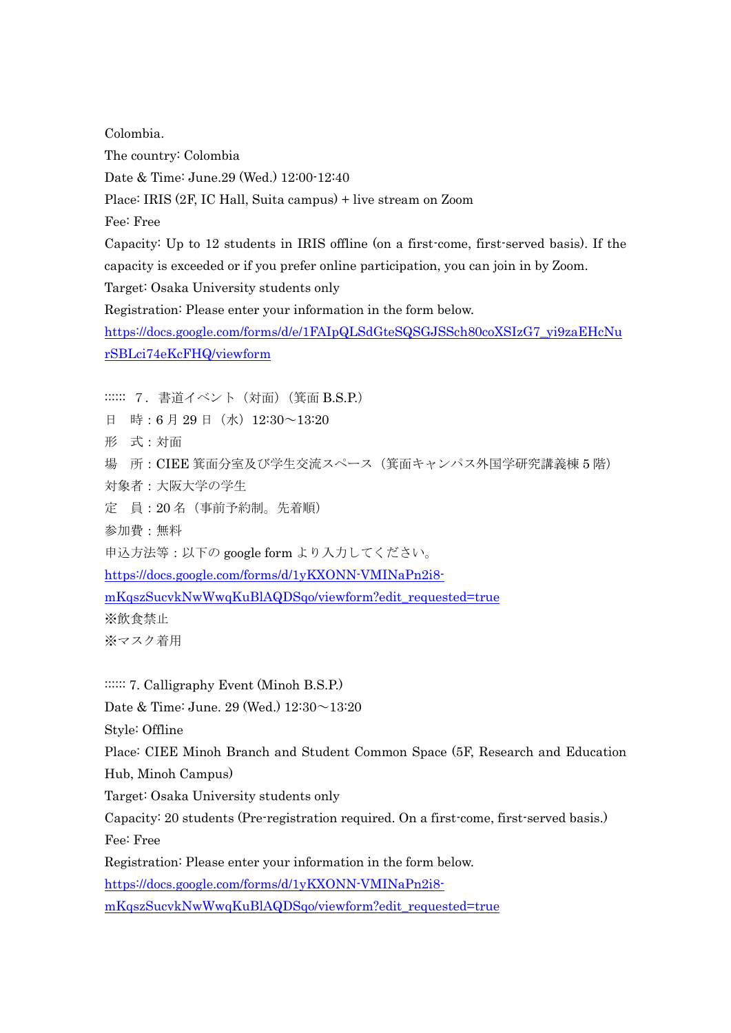Colombia. The country: Colombia Date & Time: June.29 (Wed.) 12:00-12:40 Place: IRIS (2F, IC Hall, Suita campus) + live stream on Zoom Fee: Free Capacity: Up to 12 students in IRIS offline (on a first-come, first-served basis). If the capacity is exceeded or if you prefer online participation, you can join in by Zoom. Target: Osaka University students only Registration: Please enter your information in the form below. [https://docs.google.com/forms/d/e/1FAIpQLSdGteSQSGJSSch80coXSIzG7\\_yi9zaEHcNu](https://docs.google.com/forms/d/e/1FAIpQLSdGteSQSGJSSch80coXSIzG7_yi9zaEHcNurSBLci74eKcFHQ/viewform) [rSBLci74eKcFHQ/viewform](https://docs.google.com/forms/d/e/1FAIpQLSdGteSQSGJSSch80coXSIzG7_yi9zaEHcNurSBLci74eKcFHQ/viewform) :::::: 7. 書道イベント (対面) (箕面 B.S.P.) 日 時:6月29日 (水) 12:30~13:20

形 式:対面

場 所:CIEE 箕面分室及び学生交流スペース(箕面キャンパス外国学研究講義棟 5 階) 対象者:大阪大学の学生

定 員:20 名(事前予約制。先着順)

参加費:無料

申込方法等:以下の google form より入力してください。

[https://docs.google.com/forms/d/1yKXONN-VMINaPn2i8-](https://docs.google.com/forms/d/1yKXONN-VMINaPn2i8-mKqszSucvkNwWwqKuBlAQDSqo/viewform?edit_requested=true)

[mKqszSucvkNwWwqKuBlAQDSqo/viewform?edit\\_requested=true](https://docs.google.com/forms/d/1yKXONN-VMINaPn2i8-mKqszSucvkNwWwqKuBlAQDSqo/viewform?edit_requested=true)

※飲食禁止

※マスク着用

::::::: 7. Calligraphy Event (Minoh B.S.P.)

Date & Time: June. 29 (Wed.) 12:30~13:20

Style: Offline

Place: CIEE Minoh Branch and Student Common Space (5F, Research and Education Hub, Minoh Campus)

Target: Osaka University students only

Capacity: 20 students (Pre-registration required. On a first-come, first-served basis.)

Fee: Free

Registration: Please enter your information in the form below.

[https://docs.google.com/forms/d/1yKXONN-VMINaPn2i8-](https://docs.google.com/forms/d/1yKXONN-VMINaPn2i8-mKqszSucvkNwWwqKuBlAQDSqo/viewform?edit_requested=true)

[mKqszSucvkNwWwqKuBlAQDSqo/viewform?edit\\_requested=true](https://docs.google.com/forms/d/1yKXONN-VMINaPn2i8-mKqszSucvkNwWwqKuBlAQDSqo/viewform?edit_requested=true)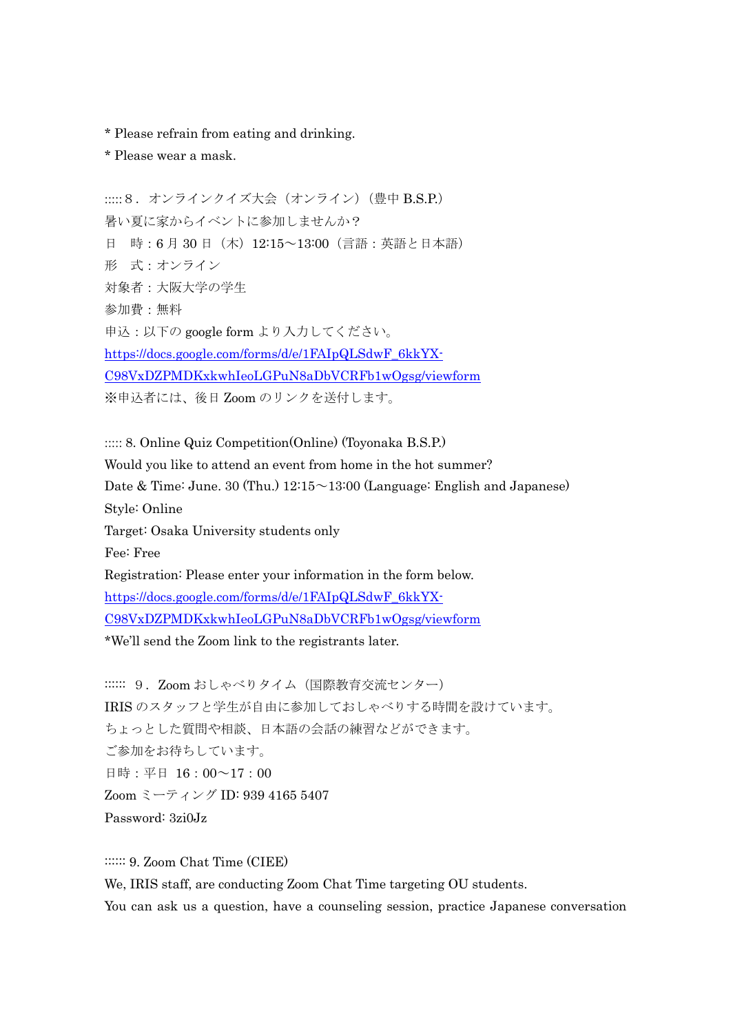- \* Please refrain from eating and drinking.
- \* Please wear a mask.

:::::8. オンラインクイズ大会 (オンライン) (豊中 B.S.P.) 暑い夏に家からイベントに参加しませんか? 日 時:6月30日 (木) 12:15~13:00 (言語:英語と日本語) 形 式:オンライン 対象者:大阪大学の学生 参加費:無料 申込:以下の google form より入力してください。 [https://docs.google.com/forms/d/e/1FAIpQLSdwF\\_6kkYX-](https://docs.google.com/forms/d/e/1FAIpQLSdwF_6kkYX-C98VxDZPMDKxkwhIeoLGPuN8aDbVCRFb1wOgsg/viewform)[C98VxDZPMDKxkwhIeoLGPuN8aDbVCRFb1wOgsg/viewform](https://docs.google.com/forms/d/e/1FAIpQLSdwF_6kkYX-C98VxDZPMDKxkwhIeoLGPuN8aDbVCRFb1wOgsg/viewform) ※申込者には、後日 Zoom のリンクを送付します。

::::: 8. Online Quiz Competition(Online) (Toyonaka B.S.P.) Would you like to attend an event from home in the hot summer? Date & Time: June. 30 (Thu.) 12:15~13:00 (Language: English and Japanese) Style: Online Target: Osaka University students only Fee: Free Registration: Please enter your information in the form below. [https://docs.google.com/forms/d/e/1FAIpQLSdwF\\_6kkYX-](https://docs.google.com/forms/d/e/1FAIpQLSdwF_6kkYX-C98VxDZPMDKxkwhIeoLGPuN8aDbVCRFb1wOgsg/viewform)[C98VxDZPMDKxkwhIeoLGPuN8aDbVCRFb1wOgsg/viewform](https://docs.google.com/forms/d/e/1FAIpQLSdwF_6kkYX-C98VxDZPMDKxkwhIeoLGPuN8aDbVCRFb1wOgsg/viewform) \*We'll send the Zoom link to the registrants later.

:::::: 9. Zoom おしゃべりタイム (国際教育交流センター) IRIS のスタッフと学生が自由に参加しておしゃべりする時間を設けています。

ちょっとした質問や相談、日本語の会話の練習などができます。 ご参加をお待ちしています。 日時:平日 16:00~17:00 Zoom ミーティング ID: 939 4165 5407 Password: 3zi0Jz

:::::: 9. Zoom Chat Time (CIEE) We, IRIS staff, are conducting Zoom Chat Time targeting OU students. You can ask us a question, have a counseling session, practice Japanese conversation